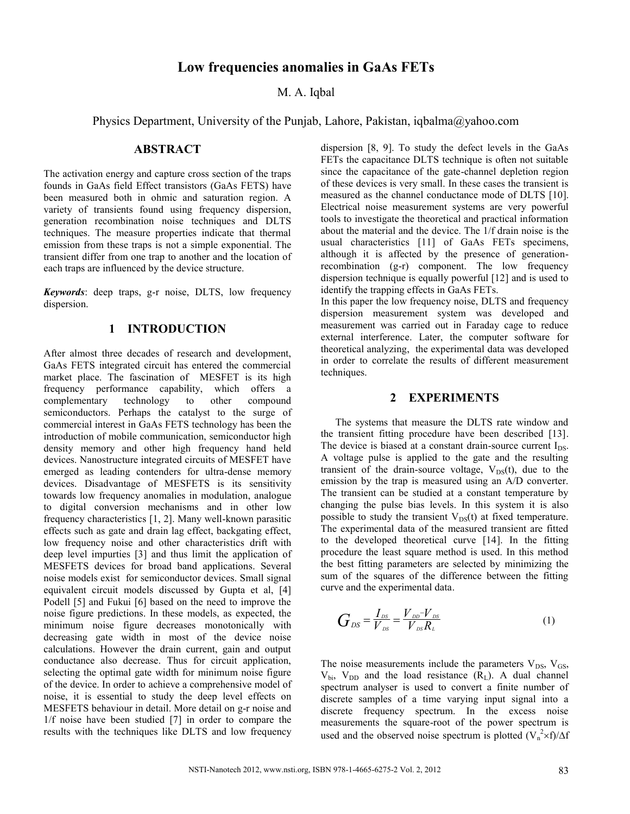# **Low frequencies anomalies in GaAs FETs**

M. A. Iqbal

Physics Department, University of the Punjab, Lahore, Pakistan, iqbalma@yahoo.com

## **ABSTRACT**

The activation energy and capture cross section of the traps founds in GaAs field Effect transistors (GaAs FETS) have been measured both in ohmic and saturation region. A variety of transients found using frequency dispersion, generation recombination noise techniques and DLTS techniques. The measure properties indicate that thermal emission from these traps is not a simple exponential. The transient differ from one trap to another and the location of each traps are influenced by the device structure.

*Keywords*: deep traps, g-r noise, DLTS, low frequency dispersion.

## **1 INTRODUCTION**

After almost three decades of research and development, GaAs FETS integrated circuit has entered the commercial market place. The fascination of MESFET is its high frequency performance capability, which offers a complementary technology to other compound semiconductors. Perhaps the catalyst to the surge of commercial interest in GaAs FETS technology has been the introduction of mobile communication, semiconductor high density memory and other high frequency hand held devices. Nanostructure integrated circuits of MESFET have emerged as leading contenders for ultra-dense memory devices. Disadvantage of MESFETS is its sensitivity towards low frequency anomalies in modulation, analogue to digital conversion mechanisms and in other low frequency characteristics [1, 2]. Many well-known parasitic effects such as gate and drain lag effect, backgating effect, low frequency noise and other characteristics drift with deep level impurties [3] and thus limit the application of MESFETS devices for broad band applications. Several noise models exist for semiconductor devices. Small signal equivalent circuit models discussed by Gupta et al, [4] Podell [5] and Fukui [6] based on the need to improve the noise figure predictions. In these models, as expected, the minimum noise figure decreases monotonically with decreasing gate width in most of the device noise calculations. However the drain current, gain and output conductance also decrease. Thus for circuit application, selecting the optimal gate width for minimum noise figure of the device. In order to achieve a comprehensive model of noise, it is essential to study the deep level effects on MESFETS behaviour in detail. More detail on g-r noise and 1/f noise have been studied [7] in order to compare the results with the techniques like DLTS and low frequency dispersion [8, 9]. To study the defect levels in the GaAs FETs the capacitance DLTS technique is often not suitable since the capacitance of the gate-channel depletion region of these devices is very small. In these cases the transient is measured as the channel conductance mode of DLTS [10]. Electrical noise measurement systems are very powerful tools to investigate the theoretical and practical information about the material and the device. The 1/f drain noise is the usual characteristics [11] of GaAs FETs specimens, although it is affected by the presence of generationrecombination (g-r) component. The low frequency dispersion technique is equally powerful [12] and is used to identify the trapping effects in GaAs FETs.

In this paper the low frequency noise, DLTS and frequency dispersion measurement system was developed and measurement was carried out in Faraday cage to reduce external interference. Later, the computer software for theoretical analyzing, the experimental data was developed in order to correlate the results of different measurement techniques.

## **2 EXPERIMENTS**

The systems that measure the DLTS rate window and the transient fitting procedure have been described [13]. The device is biased at a constant drain-source current  $I_{DS}$ . A voltage pulse is applied to the gate and the resulting transient of the drain-source voltage,  $V_{DS}(t)$ , due to the emission by the trap is measured using an A/D converter. The transient can be studied at a constant temperature by changing the pulse bias levels. In this system it is also possible to study the transient  $V_{DS}(t)$  at fixed temperature. The experimental data of the measured transient are fitted to the developed theoretical curve [14]. In the fitting procedure the least square method is used. In this method the best fitting parameters are selected by minimizing the sum of the squares of the difference between the fitting curve and the experimental data.

$$
G_{DS} = \frac{I_{DS}}{V_{DS}} = \frac{V_{DD} - V_{DS}}{V_{DS}R_L}
$$
 (1)

The noise measurements include the parameters  $V_{DS}$ ,  $V_{GS}$ ,  $V_{\text{bi}}$ ,  $V_{\text{DD}}$  and the load resistance  $(R_L)$ . A dual channel spectrum analyser is used to convert a finite number of discrete samples of a time varying input signal into a discrete frequency spectrum. In the excess noise measurements the square-root of the power spectrum is used and the observed noise spectrum is plotted  $(V_n^2\times f)/\Delta f$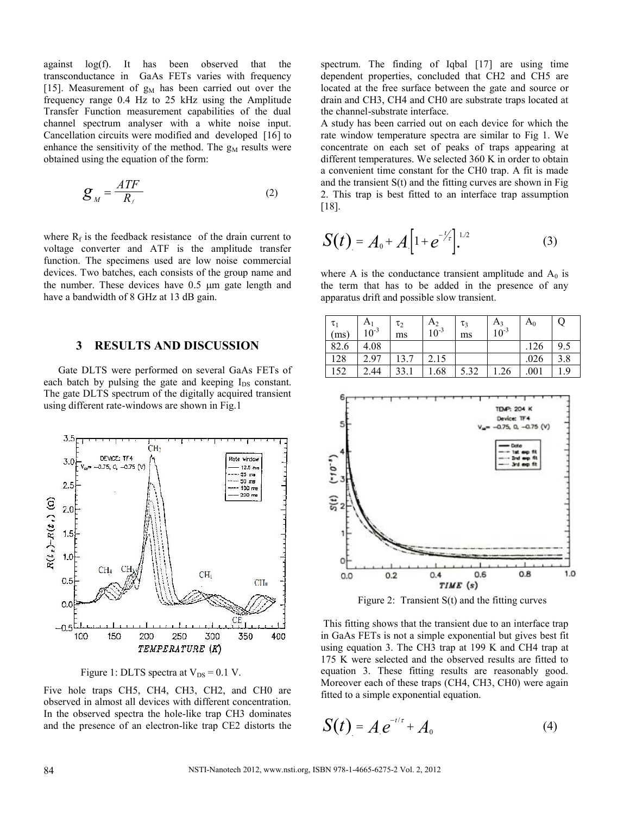against log(f). It has been observed that the transconductance in GaAs FETs varies with frequency [15]. Measurement of  $g_M$  has been carried out over the frequency range 0.4 Hz to 25 kHz using the Amplitude Transfer Function measurement capabilities of the dual channel spectrum analyser with a white noise input. Cancellation circuits were modified and developed [16] to enhance the sensitivity of the method. The  $g_M$  results were obtained using the equation of the form:

$$
\mathcal{G}_M = \frac{ATF}{R_f} \tag{2}
$$

where  $R_f$  is the feedback resistance of the drain current to voltage converter and ATF is the amplitude transfer function. The specimens used are low noise commercial devices. Two batches, each consists of the group name and the number. These devices have  $0.5 \mu m$  gate length and have a bandwidth of 8 GHz at 13 dB gain.

#### **3 RESULTS AND DISCUSSION**

Gate DLTS were performed on several GaAs FETs of each batch by pulsing the gate and keeping  $I_{DS}$  constant. The gate DLTS spectrum of the digitally acquired transient using different rate-windows are shown in Fig.1



Figure 1: DLTS spectra at  $V_{DS} = 0.1 V$ .

Five hole traps CH5, CH4, CH3, CH2, and CH0 are observed in almost all devices with different concentration. In the observed spectra the hole-like trap CH3 dominates and the presence of an electron-like trap CE2 distorts the

spectrum. The finding of Igbal [17] are using time dependent properties, concluded that CH2 and CH5 are located at the free surface between the gate and source or drain and CH3, CH4 and CH0 are substrate traps located at the channel-substrate interface.

A study has been carried out on each device for which the rate window temperature spectra are similar to Fig 1. We concentrate on each set of peaks of traps appearing at different temperatures. We selected 360 K in order to obtain a convenient time constant for the CH0 trap. A fit is made and the transient S(t) and the fitting curves are shown in Fig 2. This trap is best fitted to an interface trap assumption [18].

$$
S(t) = A_0 + A \left[ 1 + e^{-t/2} \right]^{1/2} \tag{3}
$$

where A is the conductance transient amplitude and  $A_0$  is the term that has to be added in the presence of any apparatus drift and possible slow transient.

| $\tau_{1}$<br>(ms) | A <sub>1</sub><br>$10^{-3}$ | $\tau_2$<br>ms | $A_2$<br>$10^{-3}$ | $\tau_3$<br>ms | $A_3$<br>$10^{-3}$ | $\rm A_0$ | Ő    |
|--------------------|-----------------------------|----------------|--------------------|----------------|--------------------|-----------|------|
| 82.6               | 4.08                        |                |                    |                |                    | 126       | 9.5  |
| 128                | 2.97                        | 13.7           | 2.15               |                |                    | .026      | 3.8  |
| 152                | 2.44<br>C.                  | 33.1           | 1.68               | 5.32           | .26                | .001      | . .9 |



Figure 2: Transient S(t) and the fitting curves

This fitting shows that the transient due to an interface trap in GaAs FETs is not a simple exponential but gives best fit using equation 3. The CH3 trap at 199 K and CH4 trap at 175 K were selected and the observed results are fitted to equation 3. These fitting results are reasonably good. Moreover each of these traps (CH4, CH3, CH0) were again fitted to a simple exponential equation.

$$
S(t) = Ae^{-t/\tau} + A_0 \tag{4}
$$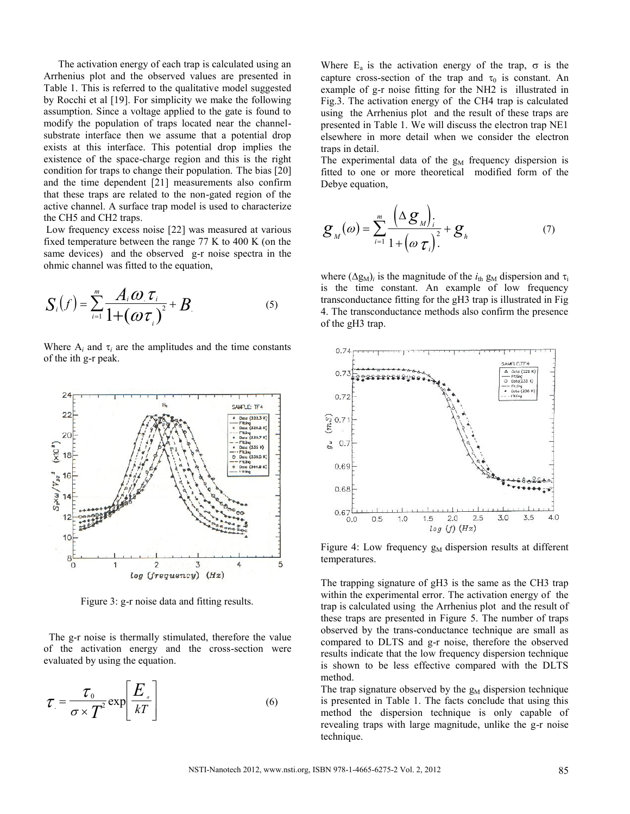The activation energy of each trap is calculated using an Arrhenius plot and the observed values are presented in Table 1. This is referred to the qualitative model suggested by Rocchi et al [19]. For simplicity we make the following assumption. Since a voltage applied to the gate is found to modify the population of traps located near the channelsubstrate interface then we assume that a potential drop exists at this interface. This potential drop implies the existence of the space-charge region and this is the right condition for traps to change their population. The bias [20] and the time dependent [21] measurements also confirm that these traps are related to the non-gated region of the active channel. A surface trap model is used to characterize the CH5 and CH2 traps.

Low frequency excess noise [22] was measured at various fixed temperature between the range 77 K to 400 K (on the same devices) and the observed g-r noise spectra in the ohmic channel was fitted to the equation,

$$
S_i(f) = \sum_{i=1}^{m} \frac{A_i \omega_i \tau_i}{1 + (\omega \tau_i)^2} + B_i
$$
 (5)

Where  $A_i$  and  $\tau_i$  are the amplitudes and the time constants of the ith g-r peak.



Figure 3: g-r noise data and fitting results.

The g-r noise is thermally stimulated, therefore the value of the activation energy and the cross-section were evaluated by using the equation.

$$
\tau = \frac{\tau_0}{\sigma \times T^2} \exp\left[\frac{E_a}{kT}\right]
$$
 (6)

Where  $E_a$  is the activation energy of the trap,  $\sigma$  is the capture cross-section of the trap and  $\tau_0$  is constant. An example of g-r noise fitting for the NH2 is illustrated in Fig.3. The activation energy of the CH4 trap is calculated using the Arrhenius plot and the result of these traps are presented in Table 1. We will discuss the electron trap NE1 elsewhere in more detail when we consider the electron traps in detail.

The experimental data of the  $g_M$  frequency dispersion is fitted to one or more theoretical modified form of the Debye equation,

$$
\mathcal{G}_{M}(\omega) = \sum_{i=1}^{m} \frac{\left(\Delta \mathcal{G}_{M}\right)_{i}}{1 + \left(\omega \mathcal{I}_{i}\right)^{2}} + \mathcal{G}_{h}
$$
(7)

where  $(\Delta g_M)_i$  is the magnitude of the  $i_{th}$  g<sub>M</sub> dispersion and  $\tau_i$ is the time constant. An example of low frequency transconductance fitting for the gH3 trap is illustrated in Fig 4. The transconductance methods also confirm the presence of the gH3 trap.



Figure 4: Low frequency  $g_M$  dispersion results at different temperatures.

The trapping signature of gH3 is the same as the CH3 trap within the experimental error. The activation energy of the trap is calculated using the Arrhenius plot and the result of these traps are presented in Figure 5. The number of traps observed by the trans-conductance technique are small as compared to DLTS and g-r noise, therefore the observed results indicate that the low frequency dispersion technique is shown to be less effective compared with the DLTS method.

The trap signature observed by the  $g_M$  dispersion technique is presented in Table 1. The facts conclude that using this method the dispersion technique is only capable of revealing traps with large magnitude, unlike the g-r noise technique.